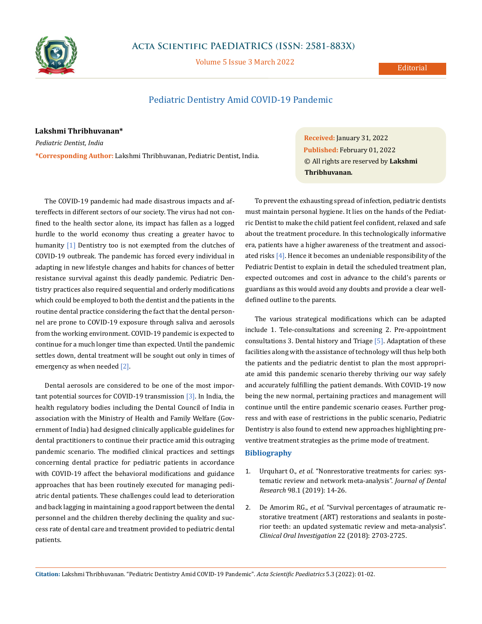

## **Acta Scientific PAEDIATRICS (ISSN: 2581-883X)**

Volume 5 Issue 3 March 2022

## **Editorial**

# Pediatric Dentistry Amid COVID-19 Pandemic

#### **Lakshmi Thribhuvanan\***

*Pediatric Dentist, India* **\*Corresponding Author:** Lakshmi Thribhuvanan, Pediatric Dentist, India.

The COVID-19 pandemic had made disastrous impacts and aftereffects in different sectors of our society. The virus had not confined to the health sector alone, its impact has fallen as a logged hurdle to the world economy thus creating a greater havoc to humanity [1] Dentistry too is not exempted from the clutches of COVID-19 outbreak. The pandemic has forced every individual in adapting in new lifestyle changes and habits for chances of better resistance survival against this deadly pandemic. Pediatric Dentistry practices also required sequential and orderly modifications which could be employed to both the dentist and the patients in the routine dental practice considering the fact that the dental personnel are prone to COVID-19 exposure through saliva and aerosols from the working environment. COVID-19 pandemic is expected to continue for a much longer time than expected. Until the pandemic settles down, dental treatment will be sought out only in times of emergency as when needed [2].

Dental aerosols are considered to be one of the most important potential sources for COVID-19 transmission [3]. In India, the health regulatory bodies including the Dental Council of India in association with the Ministry of Health and Family Welfare (Government of India) had designed clinically applicable guidelines for dental practitioners to continue their practice amid this outraging pandemic scenario. The modified clinical practices and settings concerning dental practice for pediatric patients in accordance with COVID-19 affect the behavioral modifications and guidance approaches that has been routinely executed for managing pediatric dental patients. These challenges could lead to deterioration and back lagging in maintaining a good rapport between the dental personnel and the children thereby declining the quality and success rate of dental care and treatment provided to pediatric dental patients.

**Received:** January 31, 2022 **Published:** February 01, 2022 © All rights are reserved by **Lakshmi Thribhuvanan***.*

To prevent the exhausting spread of infection, pediatric dentists must maintain personal hygiene. It lies on the hands of the Pediatric Dentist to make the child patient feel confident, relaxed and safe about the treatment procedure. In this technologically informative era, patients have a higher awareness of the treatment and associated risks [4]. Hence it becomes an undeniable responsibility of the Pediatric Dentist to explain in detail the scheduled treatment plan, expected outcomes and cost in advance to the child's parents or guardians as this would avoid any doubts and provide a clear welldefined outline to the parents.

The various strategical modifications which can be adapted include 1. Tele-consultations and screening 2. Pre-appointment consultations 3. Dental history and Triage [5]. Adaptation of these facilities along with the assistance of technology will thus help both the patients and the pediatric dentist to plan the most appropriate amid this pandemic scenario thereby thriving our way safely and accurately fulfilling the patient demands. With COVID-19 now being the new normal, pertaining practices and management will continue until the entire pandemic scenario ceases. Further progress and with ease of restrictions in the public scenario, Pediatric Dentistry is also found to extend new approaches highlighting preventive treatment strategies as the prime mode of treatment.

## **Bibliography**

- 1. Urquhart O., *et al*[. "Nonrestorative treatments for caries: sys](https://pubmed.ncbi.nlm.nih.gov/30290130/)[tematic review and network meta-analysis".](https://pubmed.ncbi.nlm.nih.gov/30290130/) *Journal of Dental Research* [98.1 \(2019\): 14-26.](https://pubmed.ncbi.nlm.nih.gov/30290130/)
- 2. De Amorim RG., *et al*[. "Survival percentages of atraumatic re](https://pubmed.ncbi.nlm.nih.gov/30232622/)[storative treatment \(ART\) restorations and sealants in poste](https://pubmed.ncbi.nlm.nih.gov/30232622/)[rior teeth: an updated systematic review and meta-analysis".](https://pubmed.ncbi.nlm.nih.gov/30232622/)  *[Clinical Oral Investigation](https://pubmed.ncbi.nlm.nih.gov/30232622/)* 22 (2018): 2703-2725.

**Citation:** Lakshmi Thribhuvanan*.* "Pediatric Dentistry Amid COVID-19 Pandemic". *Acta Scientific Paediatrics* 5.3 (2022): 01-02.